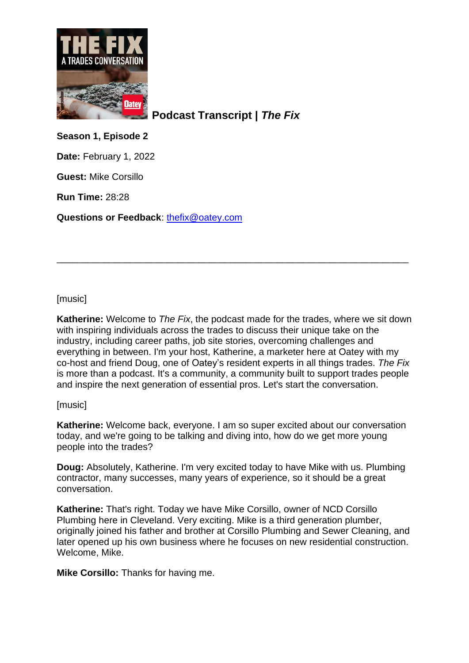

**Podcast Transcript |** *The Fix*

**Season 1, Episode 2**

**Date:** February 1, 2022

**Guest:** Mike Corsillo

**Run Time:** 28:28

**Questions or Feedback**: [thefix@oatey.com](mailto:thefix@oatey.com)

# [music]

**Katherine:** Welcome to *The Fix*, the podcast made for the trades, where we sit down with inspiring individuals across the trades to discuss their unique take on the industry, including career paths, job site stories, overcoming challenges and everything in between. I'm your host, Katherine, a marketer here at Oatey with my co-host and friend Doug, one of Oatey's resident experts in all things trades. *The Fix* is more than a podcast. It's a community, a community built to support trades people and inspire the next generation of essential pros. Let's start the conversation.

\_\_\_\_\_\_\_\_\_\_\_\_\_\_\_\_\_\_\_\_\_\_\_\_\_\_\_\_\_\_\_\_\_\_\_\_\_\_\_\_\_\_\_\_\_\_\_\_\_\_\_\_\_\_\_\_\_\_\_\_\_\_\_\_\_\_\_

## [music]

**Katherine:** Welcome back, everyone. I am so super excited about our conversation today, and we're going to be talking and diving into, how do we get more young people into the trades?

**Doug:** Absolutely, Katherine. I'm very excited today to have Mike with us. Plumbing contractor, many successes, many years of experience, so it should be a great conversation.

**Katherine:** That's right. Today we have Mike Corsillo, owner of NCD Corsillo Plumbing here in Cleveland. Very exciting. Mike is a third generation plumber, originally joined his father and brother at Corsillo Plumbing and Sewer Cleaning, and later opened up his own business where he focuses on new residential construction. Welcome, Mike.

**Mike Corsillo:** Thanks for having me.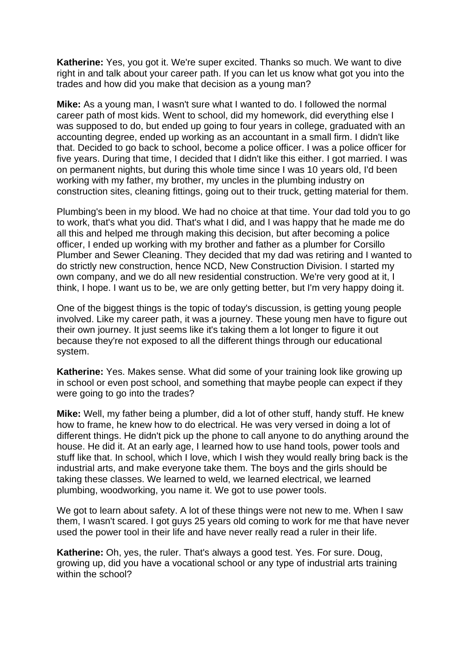**Katherine:** Yes, you got it. We're super excited. Thanks so much. We want to dive right in and talk about your career path. If you can let us know what got you into the trades and how did you make that decision as a young man?

**Mike:** As a young man, I wasn't sure what I wanted to do. I followed the normal career path of most kids. Went to school, did my homework, did everything else I was supposed to do, but ended up going to four years in college, graduated with an accounting degree, ended up working as an accountant in a small firm. I didn't like that. Decided to go back to school, become a police officer. I was a police officer for five years. During that time, I decided that I didn't like this either. I got married. I was on permanent nights, but during this whole time since I was 10 years old, I'd been working with my father, my brother, my uncles in the plumbing industry on construction sites, cleaning fittings, going out to their truck, getting material for them.

Plumbing's been in my blood. We had no choice at that time. Your dad told you to go to work, that's what you did. That's what I did, and I was happy that he made me do all this and helped me through making this decision, but after becoming a police officer, I ended up working with my brother and father as a plumber for Corsillo Plumber and Sewer Cleaning. They decided that my dad was retiring and I wanted to do strictly new construction, hence NCD, New Construction Division. I started my own company, and we do all new residential construction. We're very good at it, I think, I hope. I want us to be, we are only getting better, but I'm very happy doing it.

One of the biggest things is the topic of today's discussion, is getting young people involved. Like my career path, it was a journey. These young men have to figure out their own journey. It just seems like it's taking them a lot longer to figure it out because they're not exposed to all the different things through our educational system.

**Katherine:** Yes. Makes sense. What did some of your training look like growing up in school or even post school, and something that maybe people can expect if they were going to go into the trades?

**Mike:** Well, my father being a plumber, did a lot of other stuff, handy stuff. He knew how to frame, he knew how to do electrical. He was very versed in doing a lot of different things. He didn't pick up the phone to call anyone to do anything around the house. He did it. At an early age, I learned how to use hand tools, power tools and stuff like that. In school, which I love, which I wish they would really bring back is the industrial arts, and make everyone take them. The boys and the girls should be taking these classes. We learned to weld, we learned electrical, we learned plumbing, woodworking, you name it. We got to use power tools.

We got to learn about safety. A lot of these things were not new to me. When I saw them, I wasn't scared. I got guys 25 years old coming to work for me that have never used the power tool in their life and have never really read a ruler in their life.

**Katherine:** Oh, yes, the ruler. That's always a good test. Yes. For sure. Doug, growing up, did you have a vocational school or any type of industrial arts training within the school?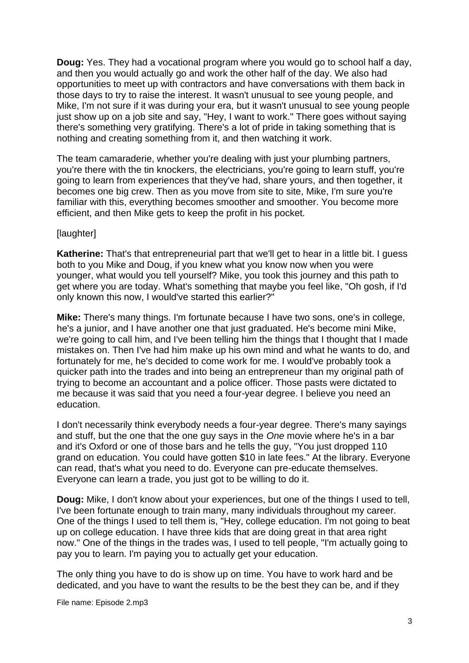**Doug:** Yes. They had a vocational program where you would go to school half a day, and then you would actually go and work the other half of the day. We also had opportunities to meet up with contractors and have conversations with them back in those days to try to raise the interest. It wasn't unusual to see young people, and Mike, I'm not sure if it was during your era, but it wasn't unusual to see young people just show up on a job site and say, "Hey, I want to work." There goes without saying there's something very gratifying. There's a lot of pride in taking something that is nothing and creating something from it, and then watching it work.

The team camaraderie, whether you're dealing with just your plumbing partners, you're there with the tin knockers, the electricians, you're going to learn stuff, you're going to learn from experiences that they've had, share yours, and then together, it becomes one big crew. Then as you move from site to site, Mike, I'm sure you're familiar with this, everything becomes smoother and smoother. You become more efficient, and then Mike gets to keep the profit in his pocket.

## [laughter]

**Katherine:** That's that entrepreneurial part that we'll get to hear in a little bit. I guess both to you Mike and Doug, if you knew what you know now when you were younger, what would you tell yourself? Mike, you took this journey and this path to get where you are today. What's something that maybe you feel like, "Oh gosh, if I'd only known this now, I would've started this earlier?"

**Mike:** There's many things. I'm fortunate because I have two sons, one's in college, he's a junior, and I have another one that just graduated. He's become mini Mike, we're going to call him, and I've been telling him the things that I thought that I made mistakes on. Then I've had him make up his own mind and what he wants to do, and fortunately for me, he's decided to come work for me. I would've probably took a quicker path into the trades and into being an entrepreneur than my original path of trying to become an accountant and a police officer. Those pasts were dictated to me because it was said that you need a four-year degree. I believe you need an education.

I don't necessarily think everybody needs a four-year degree. There's many sayings and stuff, but the one that the one guy says in the *One* movie where he's in a bar and it's Oxford or one of those bars and he tells the guy, "You just dropped 110 grand on education. You could have gotten \$10 in late fees." At the library. Everyone can read, that's what you need to do. Everyone can pre-educate themselves. Everyone can learn a trade, you just got to be willing to do it.

**Doug:** Mike, I don't know about your experiences, but one of the things I used to tell, I've been fortunate enough to train many, many individuals throughout my career. One of the things I used to tell them is, "Hey, college education. I'm not going to beat up on college education. I have three kids that are doing great in that area right now." One of the things in the trades was, I used to tell people, "I'm actually going to pay you to learn. I'm paying you to actually get your education.

The only thing you have to do is show up on time. You have to work hard and be dedicated, and you have to want the results to be the best they can be, and if they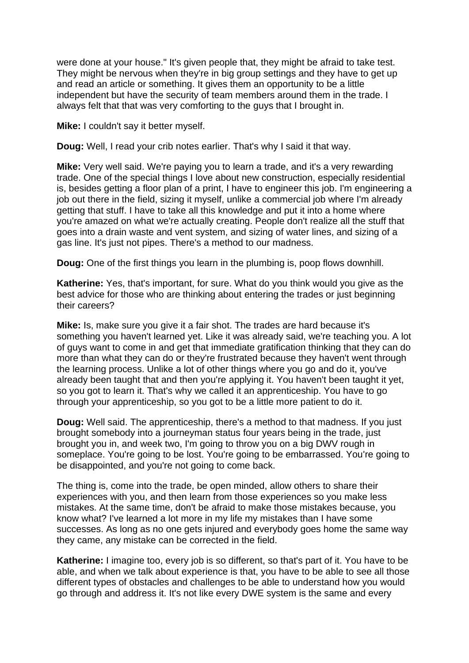were done at your house." It's given people that, they might be afraid to take test. They might be nervous when they're in big group settings and they have to get up and read an article or something. It gives them an opportunity to be a little independent but have the security of team members around them in the trade. I always felt that that was very comforting to the guys that I brought in.

**Mike:** I couldn't say it better myself.

**Doug:** Well, I read your crib notes earlier. That's why I said it that way.

**Mike:** Very well said. We're paying you to learn a trade, and it's a very rewarding trade. One of the special things I love about new construction, especially residential is, besides getting a floor plan of a print, I have to engineer this job. I'm engineering a job out there in the field, sizing it myself, unlike a commercial job where I'm already getting that stuff. I have to take all this knowledge and put it into a home where you're amazed on what we're actually creating. People don't realize all the stuff that goes into a drain waste and vent system, and sizing of water lines, and sizing of a gas line. It's just not pipes. There's a method to our madness.

**Doug:** One of the first things you learn in the plumbing is, poop flows downhill.

**Katherine:** Yes, that's important, for sure. What do you think would you give as the best advice for those who are thinking about entering the trades or just beginning their careers?

**Mike:** Is, make sure you give it a fair shot. The trades are hard because it's something you haven't learned yet. Like it was already said, we're teaching you. A lot of guys want to come in and get that immediate gratification thinking that they can do more than what they can do or they're frustrated because they haven't went through the learning process. Unlike a lot of other things where you go and do it, you've already been taught that and then you're applying it. You haven't been taught it yet, so you got to learn it. That's why we called it an apprenticeship. You have to go through your apprenticeship, so you got to be a little more patient to do it.

**Doug:** Well said. The apprenticeship, there's a method to that madness. If you just brought somebody into a journeyman status four years being in the trade, just brought you in, and week two, I'm going to throw you on a big DWV rough in someplace. You're going to be lost. You're going to be embarrassed. You're going to be disappointed, and you're not going to come back.

The thing is, come into the trade, be open minded, allow others to share their experiences with you, and then learn from those experiences so you make less mistakes. At the same time, don't be afraid to make those mistakes because, you know what? I've learned a lot more in my life my mistakes than I have some successes. As long as no one gets injured and everybody goes home the same way they came, any mistake can be corrected in the field.

**Katherine:** I imagine too, every job is so different, so that's part of it. You have to be able, and when we talk about experience is that, you have to be able to see all those different types of obstacles and challenges to be able to understand how you would go through and address it. It's not like every DWE system is the same and every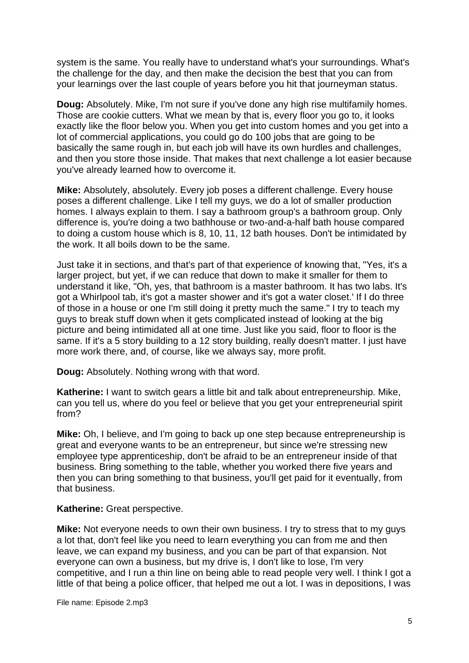system is the same. You really have to understand what's your surroundings. What's the challenge for the day, and then make the decision the best that you can from your learnings over the last couple of years before you hit that journeyman status.

**Doug:** Absolutely. Mike, I'm not sure if you've done any high rise multifamily homes. Those are cookie cutters. What we mean by that is, every floor you go to, it looks exactly like the floor below you. When you get into custom homes and you get into a lot of commercial applications, you could go do 100 jobs that are going to be basically the same rough in, but each job will have its own hurdles and challenges, and then you store those inside. That makes that next challenge a lot easier because you've already learned how to overcome it.

**Mike:** Absolutely, absolutely. Every job poses a different challenge. Every house poses a different challenge. Like I tell my guys, we do a lot of smaller production homes. I always explain to them. I say a bathroom group's a bathroom group. Only difference is, you're doing a two bathhouse or two-and-a-half bath house compared to doing a custom house which is 8, 10, 11, 12 bath houses. Don't be intimidated by the work. It all boils down to be the same.

Just take it in sections, and that's part of that experience of knowing that, "Yes, it's a larger project, but yet, if we can reduce that down to make it smaller for them to understand it like, "Oh, yes, that bathroom is a master bathroom. It has two labs. It's got a Whirlpool tab, it's got a master shower and it's got a water closet.' If I do three of those in a house or one I'm still doing it pretty much the same." I try to teach my guys to break stuff down when it gets complicated instead of looking at the big picture and being intimidated all at one time. Just like you said, floor to floor is the same. If it's a 5 story building to a 12 story building, really doesn't matter. I just have more work there, and, of course, like we always say, more profit.

**Doug:** Absolutely. Nothing wrong with that word.

**Katherine:** I want to switch gears a little bit and talk about entrepreneurship. Mike, can you tell us, where do you feel or believe that you get your entrepreneurial spirit from?

**Mike:** Oh, I believe, and I'm going to back up one step because entrepreneurship is great and everyone wants to be an entrepreneur, but since we're stressing new employee type apprenticeship, don't be afraid to be an entrepreneur inside of that business. Bring something to the table, whether you worked there five years and then you can bring something to that business, you'll get paid for it eventually, from that business.

**Katherine:** Great perspective.

**Mike:** Not everyone needs to own their own business. I try to stress that to my guys a lot that, don't feel like you need to learn everything you can from me and then leave, we can expand my business, and you can be part of that expansion. Not everyone can own a business, but my drive is, I don't like to lose, I'm very competitive, and I run a thin line on being able to read people very well. I think I got a little of that being a police officer, that helped me out a lot. I was in depositions, I was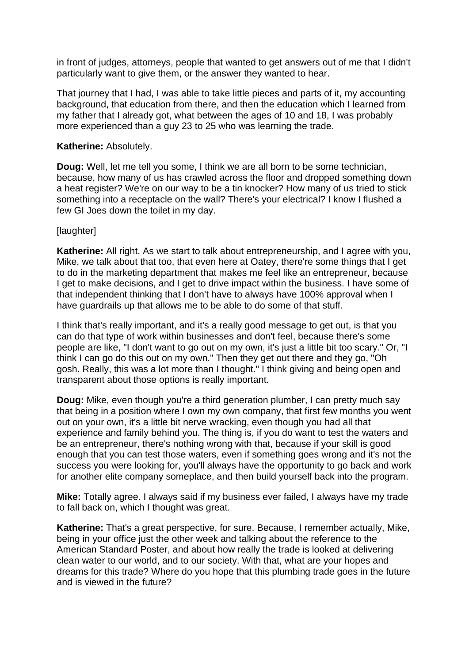in front of judges, attorneys, people that wanted to get answers out of me that I didn't particularly want to give them, or the answer they wanted to hear.

That journey that I had, I was able to take little pieces and parts of it, my accounting background, that education from there, and then the education which I learned from my father that I already got, what between the ages of 10 and 18, I was probably more experienced than a guy 23 to 25 who was learning the trade.

### **Katherine:** Absolutely.

**Doug:** Well, let me tell you some, I think we are all born to be some technician, because, how many of us has crawled across the floor and dropped something down a heat register? We're on our way to be a tin knocker? How many of us tried to stick something into a receptacle on the wall? There's your electrical? I know I flushed a few GI Joes down the toilet in my day.

## [laughter]

**Katherine:** All right. As we start to talk about entrepreneurship, and I agree with you, Mike, we talk about that too, that even here at Oatey, there're some things that I get to do in the marketing department that makes me feel like an entrepreneur, because I get to make decisions, and I get to drive impact within the business. I have some of that independent thinking that I don't have to always have 100% approval when I have guardrails up that allows me to be able to do some of that stuff.

I think that's really important, and it's a really good message to get out, is that you can do that type of work within businesses and don't feel, because there's some people are like, "I don't want to go out on my own, it's just a little bit too scary." Or, "I think I can go do this out on my own." Then they get out there and they go, "Oh gosh. Really, this was a lot more than I thought." I think giving and being open and transparent about those options is really important.

**Doug:** Mike, even though you're a third generation plumber, I can pretty much say that being in a position where I own my own company, that first few months you went out on your own, it's a little bit nerve wracking, even though you had all that experience and family behind you. The thing is, if you do want to test the waters and be an entrepreneur, there's nothing wrong with that, because if your skill is good enough that you can test those waters, even if something goes wrong and it's not the success you were looking for, you'll always have the opportunity to go back and work for another elite company someplace, and then build yourself back into the program.

**Mike:** Totally agree. I always said if my business ever failed, I always have my trade to fall back on, which I thought was great.

**Katherine:** That's a great perspective, for sure. Because, I remember actually, Mike, being in your office just the other week and talking about the reference to the American Standard Poster, and about how really the trade is looked at delivering clean water to our world, and to our society. With that, what are your hopes and dreams for this trade? Where do you hope that this plumbing trade goes in the future and is viewed in the future?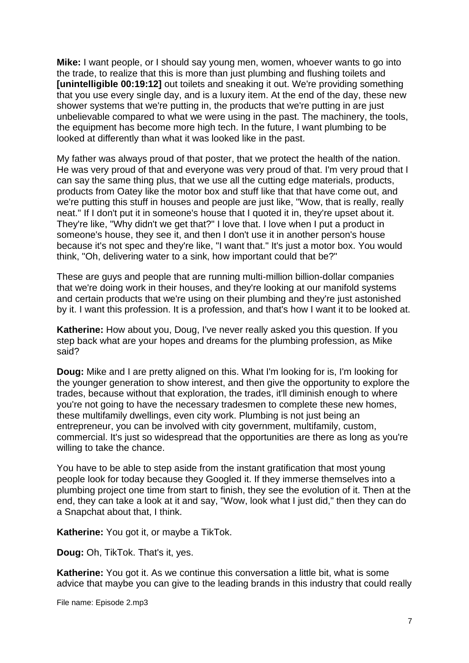**Mike:** I want people, or I should say young men, women, whoever wants to go into the trade, to realize that this is more than just plumbing and flushing toilets and **[unintelligible 00:19:12]** out toilets and sneaking it out. We're providing something that you use every single day, and is a luxury item. At the end of the day, these new shower systems that we're putting in, the products that we're putting in are just unbelievable compared to what we were using in the past. The machinery, the tools, the equipment has become more high tech. In the future, I want plumbing to be looked at differently than what it was looked like in the past.

My father was always proud of that poster, that we protect the health of the nation. He was very proud of that and everyone was very proud of that. I'm very proud that I can say the same thing plus, that we use all the cutting edge materials, products, products from Oatey like the motor box and stuff like that that have come out, and we're putting this stuff in houses and people are just like, "Wow, that is really, really neat." If I don't put it in someone's house that I quoted it in, they're upset about it. They're like, "Why didn't we get that?" I love that. I love when I put a product in someone's house, they see it, and then I don't use it in another person's house because it's not spec and they're like, "I want that." It's just a motor box. You would think, "Oh, delivering water to a sink, how important could that be?"

These are guys and people that are running multi-million billion-dollar companies that we're doing work in their houses, and they're looking at our manifold systems and certain products that we're using on their plumbing and they're just astonished by it. I want this profession. It is a profession, and that's how I want it to be looked at.

**Katherine:** How about you, Doug, I've never really asked you this question. If you step back what are your hopes and dreams for the plumbing profession, as Mike said?

**Doug:** Mike and I are pretty aligned on this. What I'm looking for is, I'm looking for the younger generation to show interest, and then give the opportunity to explore the trades, because without that exploration, the trades, it'll diminish enough to where you're not going to have the necessary tradesmen to complete these new homes, these multifamily dwellings, even city work. Plumbing is not just being an entrepreneur, you can be involved with city government, multifamily, custom, commercial. It's just so widespread that the opportunities are there as long as you're willing to take the chance.

You have to be able to step aside from the instant gratification that most young people look for today because they Googled it. If they immerse themselves into a plumbing project one time from start to finish, they see the evolution of it. Then at the end, they can take a look at it and say, "Wow, look what I just did," then they can do a Snapchat about that, I think.

**Katherine:** You got it, or maybe a TikTok.

**Doug:** Oh, TikTok. That's it, yes.

**Katherine:** You got it. As we continue this conversation a little bit, what is some advice that maybe you can give to the leading brands in this industry that could really

File name: Episode 2.mp3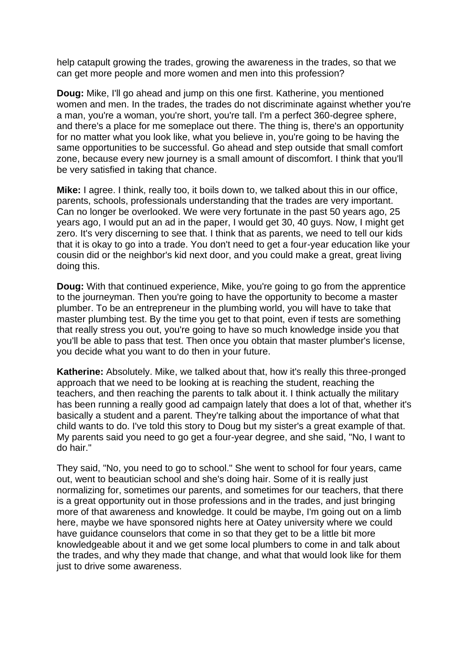help catapult growing the trades, growing the awareness in the trades, so that we can get more people and more women and men into this profession?

**Doug:** Mike, I'll go ahead and jump on this one first. Katherine, you mentioned women and men. In the trades, the trades do not discriminate against whether you're a man, you're a woman, you're short, you're tall. I'm a perfect 360-degree sphere, and there's a place for me someplace out there. The thing is, there's an opportunity for no matter what you look like, what you believe in, you're going to be having the same opportunities to be successful. Go ahead and step outside that small comfort zone, because every new journey is a small amount of discomfort. I think that you'll be very satisfied in taking that chance.

**Mike:** I agree. I think, really too, it boils down to, we talked about this in our office, parents, schools, professionals understanding that the trades are very important. Can no longer be overlooked. We were very fortunate in the past 50 years ago, 25 years ago, I would put an ad in the paper, I would get 30, 40 guys. Now, I might get zero. It's very discerning to see that. I think that as parents, we need to tell our kids that it is okay to go into a trade. You don't need to get a four-year education like your cousin did or the neighbor's kid next door, and you could make a great, great living doing this.

**Doug:** With that continued experience, Mike, you're going to go from the apprentice to the journeyman. Then you're going to have the opportunity to become a master plumber. To be an entrepreneur in the plumbing world, you will have to take that master plumbing test. By the time you get to that point, even if tests are something that really stress you out, you're going to have so much knowledge inside you that you'll be able to pass that test. Then once you obtain that master plumber's license, you decide what you want to do then in your future.

**Katherine:** Absolutely. Mike, we talked about that, how it's really this three-pronged approach that we need to be looking at is reaching the student, reaching the teachers, and then reaching the parents to talk about it. I think actually the military has been running a really good ad campaign lately that does a lot of that, whether it's basically a student and a parent. They're talking about the importance of what that child wants to do. I've told this story to Doug but my sister's a great example of that. My parents said you need to go get a four-year degree, and she said, "No, I want to do hair."

They said, "No, you need to go to school." She went to school for four years, came out, went to beautician school and she's doing hair. Some of it is really just normalizing for, sometimes our parents, and sometimes for our teachers, that there is a great opportunity out in those professions and in the trades, and just bringing more of that awareness and knowledge. It could be maybe, I'm going out on a limb here, maybe we have sponsored nights here at Oatey university where we could have guidance counselors that come in so that they get to be a little bit more knowledgeable about it and we get some local plumbers to come in and talk about the trades, and why they made that change, and what that would look like for them just to drive some awareness.